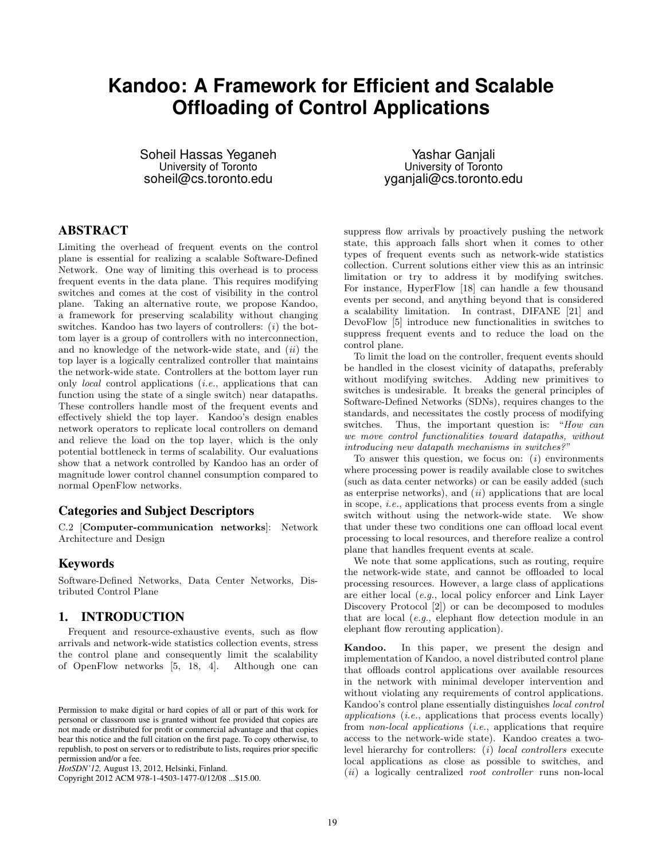# **Kandoo: A Framework for Efficient and Scalable Offloading of Control Applications**

Soheil Hassas Yeganeh University of Toronto soheil@cs.toronto.edu

Yashar Ganjali University of Toronto yganjali@cs.toronto.edu

## ABSTRACT

Limiting the overhead of frequent events on the control plane is essential for realizing a scalable Software-Defined Network. One way of limiting this overhead is to process frequent events in the data plane. This requires modifying switches and comes at the cost of visibility in the control plane. Taking an alternative route, we propose Kandoo, a framework for preserving scalability without changing switches. Kandoo has two layers of controllers:  $(i)$  the bottom layer is a group of controllers with no interconnection, and no knowledge of the network-wide state, and  $(ii)$  the top layer is a logically centralized controller that maintains the network-wide state. Controllers at the bottom layer run only local control applications (i.e., applications that can function using the state of a single switch) near datapaths. These controllers handle most of the frequent events and effectively shield the top layer. Kandoo's design enables network operators to replicate local controllers on demand and relieve the load on the top layer, which is the only potential bottleneck in terms of scalability. Our evaluations show that a network controlled by Kandoo has an order of magnitude lower control channel consumption compared to normal OpenFlow networks.

#### Categories and Subject Descriptors

C.2 [Computer-communication networks]: Network Architecture and Design

#### Keywords

Software-Defined Networks, Data Center Networks, Distributed Control Plane

## 1. INTRODUCTION

Frequent and resource-exhaustive events, such as flow arrivals and network-wide statistics collection events, stress the control plane and consequently limit the scalability of OpenFlow networks [\[5,](#page-5-0) [18,](#page-5-1) [4\]](#page-5-2). Although one can

Copyright 2012 ACM 978-1-4503-1477-0/12/08 ...\$15.00.

suppress flow arrivals by proactively pushing the network state, this approach falls short when it comes to other types of frequent events such as network-wide statistics collection. Current solutions either view this as an intrinsic limitation or try to address it by modifying switches. For instance, HyperFlow [\[18\]](#page-5-1) can handle a few thousand events per second, and anything beyond that is considered a scalability limitation. In contrast, DIFANE [\[21\]](#page-5-3) and DevoFlow [\[5\]](#page-5-0) introduce new functionalities in switches to suppress frequent events and to reduce the load on the control plane.

To limit the load on the controller, frequent events should be handled in the closest vicinity of datapaths, preferably without modifying switches. Adding new primitives to switches is undesirable. It breaks the general principles of Software-Defined Networks (SDNs), requires changes to the standards, and necessitates the costly process of modifying switches. Thus, the important question is: "How can we move control functionalities toward datapaths, without introducing new datapath mechanisms in switches? "

To answer this question, we focus on:  $(i)$  environments where processing power is readily available close to switches (such as data center networks) or can be easily added (such as enterprise networks), and  $(ii)$  applications that are local in scope, i.e., applications that process events from a single switch without using the network-wide state. We show that under these two conditions one can offload local event processing to local resources, and therefore realize a control plane that handles frequent events at scale.

We note that some applications, such as routing, require the network-wide state, and cannot be offloaded to local processing resources. However, a large class of applications are either local (e.g., local policy enforcer and Link Layer Discovery Protocol [\[2\]](#page-5-4)) or can be decomposed to modules that are local (e.g., elephant flow detection module in an elephant flow rerouting application).

Kandoo. In this paper, we present the design and implementation of Kandoo, a novel distributed control plane that offloads control applications over available resources in the network with minimal developer intervention and without violating any requirements of control applications. Kandoo's control plane essentially distinguishes local control applications (i.e., applications that process events locally) from non-local applications (i.e., applications that require access to the network-wide state). Kandoo creates a twolevel hierarchy for controllers: (i) local controllers execute local applications as close as possible to switches, and  $(ii)$  a logically centralized *root controller* runs non-local

Permission to make digital or hard copies of all or part of this work for personal or classroom use is granted without fee provided that copies are not made or distributed for profit or commercial advantage and that copies bear this notice and the full citation on the first page. To copy otherwise, to republish, to post on servers or to redistribute to lists, requires prior specific permission and/or a fee.

*HotSDN'12,* August 13, 2012, Helsinki, Finland.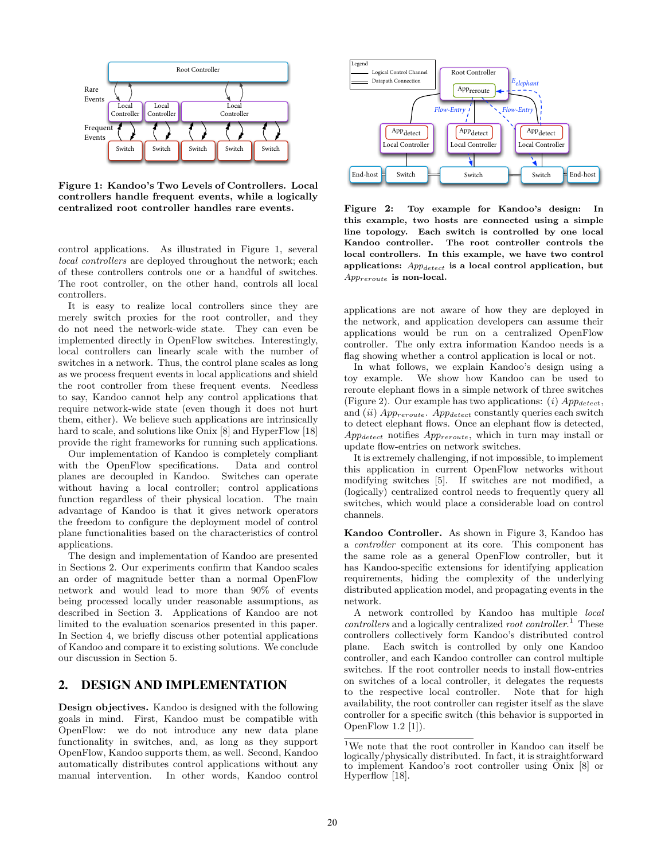

<span id="page-1-0"></span>Figure 1: Kandoo's Two Levels of Controllers. Local controllers handle frequent events, while a logically centralized root controller handles rare events.

control applications. As illustrated in Figure [1,](#page-1-0) several local controllers are deployed throughout the network; each of these controllers controls one or a handful of switches. The root controller, on the other hand, controls all local controllers.

It is easy to realize local controllers since they are merely switch proxies for the root controller, and they do not need the network-wide state. They can even be implemented directly in OpenFlow switches. Interestingly, local controllers can linearly scale with the number of switches in a network. Thus, the control plane scales as long as we process frequent events in local applications and shield the root controller from these frequent events. Needless to say, Kandoo cannot help any control applications that require network-wide state (even though it does not hurt them, either). We believe such applications are intrinsically hard to scale, and solutions like Onix [\[8\]](#page-5-5) and HyperFlow [\[18\]](#page-5-1) provide the right frameworks for running such applications.

Our implementation of Kandoo is completely compliant with the OpenFlow specifications. Data and control planes are decoupled in Kandoo. Switches can operate without having a local controller; control applications function regardless of their physical location. The main advantage of Kandoo is that it gives network operators the freedom to configure the deployment model of control plane functionalities based on the characteristics of control applications.

The design and implementation of Kandoo are presented in Sections [2.](#page-1-1) Our experiments confirm that Kandoo scales an order of magnitude better than a normal OpenFlow network and would lead to more than 90% of events being processed locally under reasonable assumptions, as described in Section [3.](#page-3-0) Applications of Kandoo are not limited to the evaluation scenarios presented in this paper. In Section [4,](#page-4-0) we briefly discuss other potential applications of Kandoo and compare it to existing solutions. We conclude our discussion in Section [5.](#page-5-6)

#### <span id="page-1-1"></span>2. DESIGN AND IMPLEMENTATION

Design objectives. Kandoo is designed with the following goals in mind. First, Kandoo must be compatible with OpenFlow: we do not introduce any new data plane functionality in switches, and, as long as they support OpenFlow, Kandoo supports them, as well. Second, Kandoo automatically distributes control applications without any manual intervention. In other words, Kandoo control



<span id="page-1-2"></span>Figure 2: Toy example for Kandoo's design: In this example, two hosts are connected using a simple line topology. Each switch is controlled by one local Kandoo controller. The root controller controls the local controllers. In this example, we have two control applications:  $App<sub>detect</sub>$  is a local control application, but Appreroute is non-local.

applications are not aware of how they are deployed in the network, and application developers can assume their applications would be run on a centralized OpenFlow controller. The only extra information Kandoo needs is a flag showing whether a control application is local or not.

In what follows, we explain Kandoo's design using a toy example. We show how Kandoo can be used to reroute elephant flows in a simple network of three switches (Figure [2\)](#page-1-2). Our example has two applications: (i)  $App_{detect}$ , and (ii)  $App_{reroute}$ .  $App_{detect}$  constantly queries each switch to detect elephant flows. Once an elephant flow is detected,  $App<sub>detect</sub>$  notifies  $App<sub>reroute</sub>$ , which in turn may install or update flow-entries on network switches.

It is extremely challenging, if not impossible, to implement this application in current OpenFlow networks without modifying switches [\[5\]](#page-5-0). If switches are not modified, a (logically) centralized control needs to frequently query all switches, which would place a considerable load on control channels.

Kandoo Controller. As shown in Figure [3,](#page-2-0) Kandoo has a controller component at its core. This component has the same role as a general OpenFlow controller, but it has Kandoo-specific extensions for identifying application requirements, hiding the complexity of the underlying distributed application model, and propagating events in the network.

A network controlled by Kandoo has multiple local controllers and a logically centralized root controller.<sup>[1](#page-1-3)</sup> These controllers collectively form Kandoo's distributed control plane. Each switch is controlled by only one Kandoo controller, and each Kandoo controller can control multiple switches. If the root controller needs to install flow-entries on switches of a local controller, it delegates the requests to the respective local controller. Note that for high availability, the root controller can register itself as the slave controller for a specific switch (this behavior is supported in OpenFlow 1.2 [\[1\]](#page-5-7)).

<span id="page-1-3"></span> $^1\rm{We}$  note that the root controller in Kandoo can itself be logically/physically distributed. In fact, it is straightforward to implement Kandoo's root controller using Onix [\[8\]](#page-5-5) or Hyperflow [\[18\]](#page-5-1).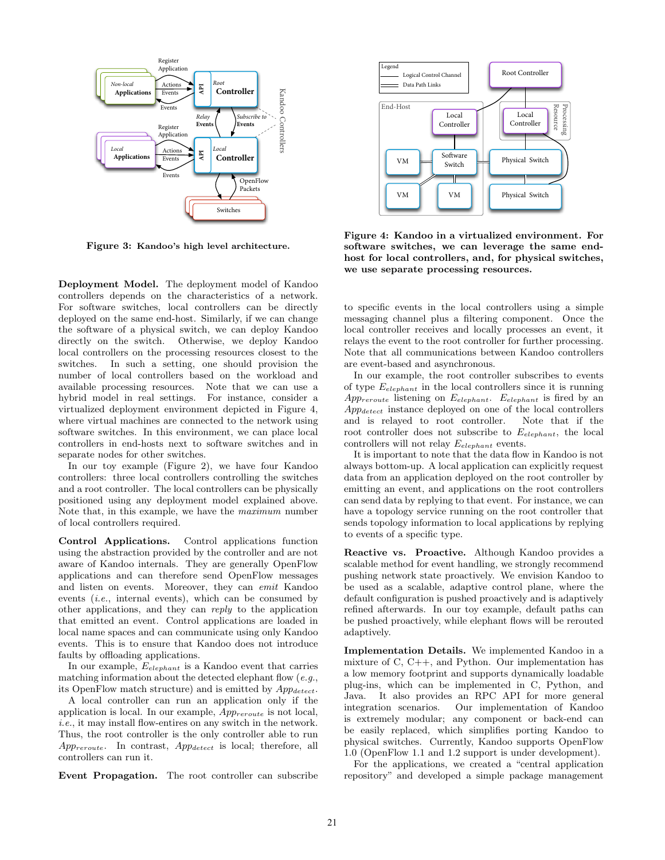

<span id="page-2-0"></span>Figure 3: Kandoo's high level architecture.

Deployment Model. The deployment model of Kandoo controllers depends on the characteristics of a network. For software switches, local controllers can be directly deployed on the same end-host. Similarly, if we can change the software of a physical switch, we can deploy Kandoo directly on the switch. Otherwise, we deploy Kandoo local controllers on the processing resources closest to the switches. In such a setting, one should provision the number of local controllers based on the workload and available processing resources. Note that we can use a hybrid model in real settings. For instance, consider a virtualized deployment environment depicted in Figure [4,](#page-2-1) where virtual machines are connected to the network using software switches. In this environment, we can place local controllers in end-hosts next to software switches and in separate nodes for other switches. Event 3. The root controller controller controller can subscribe Resource Propagation. The root controller can subscribe Resource Propagation. The root controller can subscribe Resource Propagation. The root controller ca

In our toy example (Figure [2\)](#page-1-2), we have four Kandoo controllers: three local controllers controlling the switches and a root controller. The local controllers can be physically positioned using any deployment model explained above. Note that, in this example, we have the maximum number of local controllers required.

Control Applications. Control applications function using the abstraction provided by the controller and are not aware of Kandoo internals. They are generally OpenFlow applications and can therefore send OpenFlow messages and listen on events. Moreover, they can emit Kandoo events (i.e., internal events), which can be consumed by other applications, and they can reply to the application that emitted an event. Control applications are loaded in local name spaces and can communicate using only Kandoo events. This is to ensure that Kandoo does not introduce faults by offloading applications.

In our example,  $E_{elephant}$  is a Kandoo event that carries matching information about the detected elephant flow  $(e.g.,$ its OpenFlow match structure) and is emitted by  $App_{detect}$ .

A local controller can run an application only if the application is local. In our example,  $App_{reroute}$  is not local, i.e., it may install flow-entires on any switch in the network. Thus, the root controller is the only controller able to run  $App$ reroute. In contrast,  $App_{detect}$  is local; therefore, all controllers can run it.



<span id="page-2-1"></span>Figure 4: Kandoo in a virtualized environment. For software switches, we can leverage the same endhost for local controllers, and, for physical switches, we use separate processing resources.

to specific events in the local controllers using a simple messaging channel plus a filtering component. Once the local controller receives and locally processes an event, it relays the event to the root controller for further processing. Note that all communications between Kandoo controllers are event-based and asynchronous.

In our example, the root controller subscribes to events of type  $E_{elephant}$  in the local controllers since it is running  $App_{reroute}$  listening on  $E_{elephant}$ .  $E_{elephant}$  is fired by an  $App_{detect}$  instance deployed on one of the local controllers and is relayed to root controller. Note that if the root controller does not subscribe to  $E_{elephant}$ , the local controllers will not relay  $E_{elephant}$  events.

It is important to note that the data flow in Kandoo is not always bottom-up. A local application can explicitly request data from an application deployed on the root controller by emitting an event, and applications on the root controllers can send data by replying to that event. For instance, we can have a topology service running on the root controller that sends topology information to local applications by replying to events of a specific type.

Reactive vs. Proactive. Although Kandoo provides a scalable method for event handling, we strongly recommend pushing network state proactively. We envision Kandoo to be used as a scalable, adaptive control plane, where the default configuration is pushed proactively and is adaptively refined afterwards. In our toy example, default paths can be pushed proactively, while elephant flows will be rerouted adaptively.

Implementation Details. We implemented Kandoo in a mixture of C, C++, and Python. Our implementation has a low memory footprint and supports dynamically loadable plug-ins, which can be implemented in C, Python, and Java. It also provides an RPC API for more general integration scenarios. Our implementation of Kandoo is extremely modular; any component or back-end can be easily replaced, which simplifies porting Kandoo to physical switches. Currently, Kandoo supports OpenFlow 1.0 (OpenFlow 1.1 and 1.2 support is under development).

For the applications, we created a "central application repository" and developed a simple package management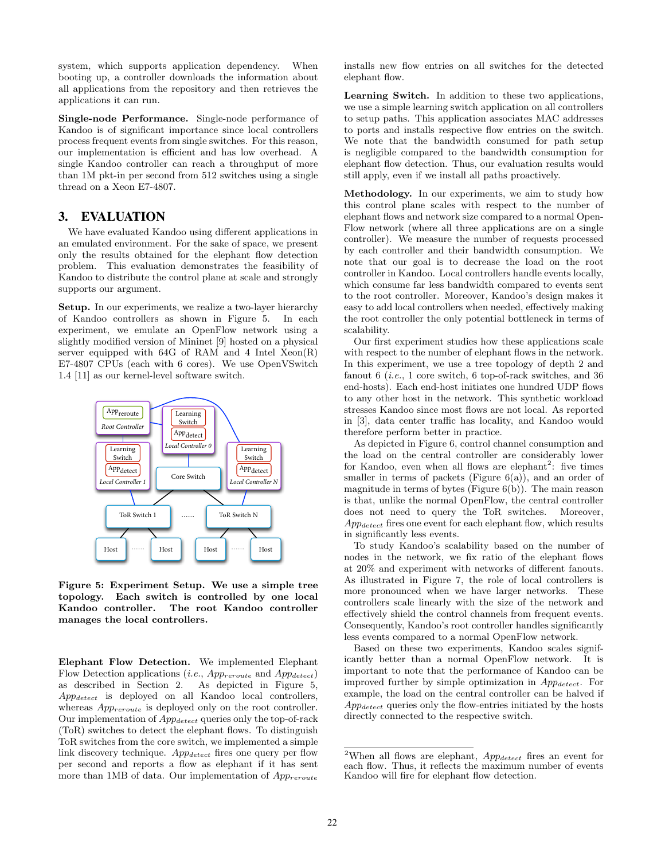system, which supports application dependency. When booting up, a controller downloads the information about all applications from the repository and then retrieves the applications it can run.

Single-node Performance. Single-node performance of Kandoo is of significant importance since local controllers process frequent events from single switches. For this reason, our implementation is efficient and has low overhead. A single Kandoo controller can reach a throughput of more than 1M pkt-in per second from 512 switches using a single thread on a Xeon E7-4807.

## <span id="page-3-0"></span>3. EVALUATION

We have evaluated Kandoo using different applications in an emulated environment. For the sake of space, we present only the results obtained for the elephant flow detection problem. This evaluation demonstrates the feasibility of Kandoo to distribute the control plane at scale and strongly supports our argument.

Setup. In our experiments, we realize a two-layer hierarchy of Kandoo controllers as shown in Figure [5.](#page-3-1) In each experiment, we emulate an OpenFlow network using a slightly modified version of Mininet [\[9\]](#page-5-8) hosted on a physical server equipped with  $64G$  of RAM and 4 Intel  $Xeon(R)$ E7-4807 CPUs (each with 6 cores). We use OpenVSwitch 1.4 [\[11\]](#page-5-9) as our kernel-level software switch.



<span id="page-3-1"></span>Figure 5: Experiment Setup. We use a simple tree topology. Each switch is controlled by one local Kandoo controller. The root Kandoo controller manages the local controllers.

Elephant Flow Detection. We implemented Elephant Flow Detection applications (i.e.,  $App_{reroute}$  and  $App_{detect}$ ) as described in Section [2.](#page-1-1) As depicted in Figure [5,](#page-3-1) App<sub>detect</sub> is deployed on all Kandoo local controllers, whereas  $App_{reroute}$  is deployed only on the root controller. Our implementation of  $App_{detect}$  queries only the top-of-rack (ToR) switches to detect the elephant flows. To distinguish ToR switches from the core switch, we implemented a simple link discovery technique.  $App_{detect}$  fires one query per flow per second and reports a flow as elephant if it has sent more than 1MB of data. Our implementation of  $App_{reroute}$  installs new flow entries on all switches for the detected elephant flow.

Learning Switch. In addition to these two applications, we use a simple learning switch application on all controllers to setup paths. This application associates MAC addresses to ports and installs respective flow entries on the switch. We note that the bandwidth consumed for path setup is negligible compared to the bandwidth consumption for elephant flow detection. Thus, our evaluation results would still apply, even if we install all paths proactively.

Methodology. In our experiments, we aim to study how this control plane scales with respect to the number of elephant flows and network size compared to a normal Open-Flow network (where all three applications are on a single controller). We measure the number of requests processed by each controller and their bandwidth consumption. We note that our goal is to decrease the load on the root controller in Kandoo. Local controllers handle events locally, which consume far less bandwidth compared to events sent to the root controller. Moreover, Kandoo's design makes it easy to add local controllers when needed, effectively making the root controller the only potential bottleneck in terms of scalability.

Our first experiment studies how these applications scale with respect to the number of elephant flows in the network. In this experiment, we use a tree topology of depth 2 and fanout 6 (*i.e.*, 1 core switch, 6 top-of-rack switches, and 36 end-hosts). Each end-host initiates one hundred UDP flows to any other host in the network. This synthetic workload stresses Kandoo since most flows are not local. As reported in [\[3\]](#page-5-10), data center traffic has locality, and Kandoo would therefore perform better in practice.

As depicted in Figure [6,](#page-4-1) control channel consumption and the load on the central controller are considerably lower for Kandoo, even when all flows are elephant<sup>[2](#page-3-2)</sup>: five times smaller in terms of packets (Figure  $6(a)$ ), and an order of magnitude in terms of bytes (Figure  $6(b)$ ). The main reason is that, unlike the normal OpenFlow, the central controller does not need to query the ToR switches. Moreover,  $App<sub>detect</sub>$  fires one event for each elephant flow, which results in significantly less events.

To study Kandoo's scalability based on the number of nodes in the network, we fix ratio of the elephant flows at 20% and experiment with networks of different fanouts. As illustrated in Figure [7,](#page-4-4) the role of local controllers is more pronounced when we have larger networks. These controllers scale linearly with the size of the network and effectively shield the control channels from frequent events. Consequently, Kandoo's root controller handles significantly less events compared to a normal OpenFlow network.

Based on these two experiments, Kandoo scales significantly better than a normal OpenFlow network. It is important to note that the performance of Kandoo can be improved further by simple optimization in  $App_{detect}$ . For example, the load on the central controller can be halved if  $App<sub>detect</sub>$  queries only the flow-entries initiated by the hosts directly connected to the respective switch.

<span id="page-3-2"></span><sup>&</sup>lt;sup>2</sup>When all flows are elephant,  $App_{detect}$  fires an event for each flow. Thus, it reflects the maximum number of events Kandoo will fire for elephant flow detection.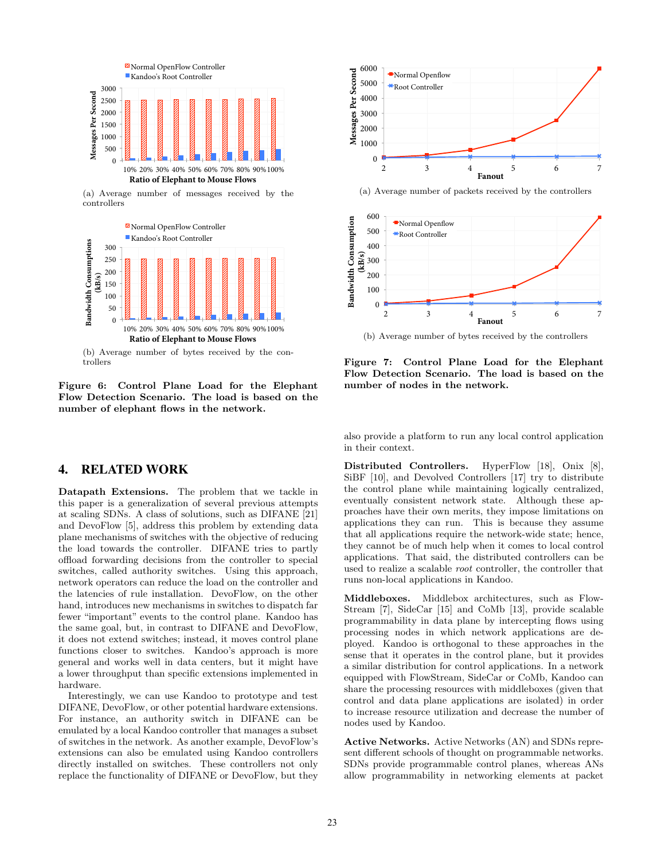<span id="page-4-2"></span>

(a) Average number of messages received by the controllers



<span id="page-4-3"></span><span id="page-4-1"></span>Figure 6: Control Plane Load for the Elephant Flow Detection Scenario. The load is based on the number of elephant flows in the network.

#### <span id="page-4-0"></span>4. RELATED WORK

Datapath Extensions. The problem that we tackle in this paper is a generalization of several previous attempts at scaling SDNs. A class of solutions, such as DIFANE [\[21\]](#page-5-3) and DevoFlow [\[5\]](#page-5-0), address this problem by extending data plane mechanisms of switches with the objective of reducing the load towards the controller. DIFANE tries to partly offload forwarding decisions from the controller to special switches, called authority switches. Using this approach, network operators can reduce the load on the controller and the latencies of rule installation. DevoFlow, on the other hand, introduces new mechanisms in switches to dispatch far fewer "important" events to the control plane. Kandoo has the same goal, but, in contrast to DIFANE and DevoFlow, it does not extend switches; instead, it moves control plane functions closer to switches. Kandoo's approach is more general and works well in data centers, but it might have a lower throughput than specific extensions implemented in hardware. replace the functionality of DIFANE or DevoFlow, but they 0

Interestingly, we can use Kandoo to prototype and test DIFANE, DevoFlow, or other potential hardware extensions. For instance, an authority switch in DIFANE can be emulated by a local Kandoo controller that manages a subset of switches in the network. As another example, DevoFlow's extensions can also be emulated using Kandoo controllers directly installed on switches. These controllers not only



(a) Average number of packets received by the controllers



<span id="page-4-4"></span>(b) Average number of bytes received by the controllers

Figure 7: Control Plane Load for the Elephant Flow Detection Scenario. The load is based on the number of nodes in the network.

also provide a platform to run any local control application in their context.

Distributed Controllers. HyperFlow [\[18\]](#page-5-1), Onix [\[8\]](#page-5-5), SiBF [\[10\]](#page-5-11), and Devolved Controllers [\[17\]](#page-5-12) try to distribute the control plane while maintaining logically centralized, eventually consistent network state. Although these approaches have their own merits, they impose limitations on applications they can run. This is because they assume that all applications require the network-wide state; hence, they cannot be of much help when it comes to local control applications. That said, the distributed controllers can be used to realize a scalable root controller, the controller that runs non-local applications in Kandoo.

Middleboxes. Middlebox architectures, such as Flow-Stream [\[7\]](#page-5-13), SideCar [\[15\]](#page-5-14) and CoMb [\[13\]](#page-5-15), provide scalable programmability in data plane by intercepting flows using processing nodes in which network applications are deployed. Kandoo is orthogonal to these approaches in the sense that it operates in the control plane, but it provides a similar distribution for control applications. In a network equipped with FlowStream, SideCar or CoMb, Kandoo can share the processing resources with middleboxes (given that control and data plane applications are isolated) in order to increase resource utilization and decrease the number of nodes used by Kandoo.

Active Networks. Active Networks (AN) and SDNs represent different schools of thought on programmable networks. SDNs provide programmable control planes, whereas ANs allow programmability in networking elements at packet